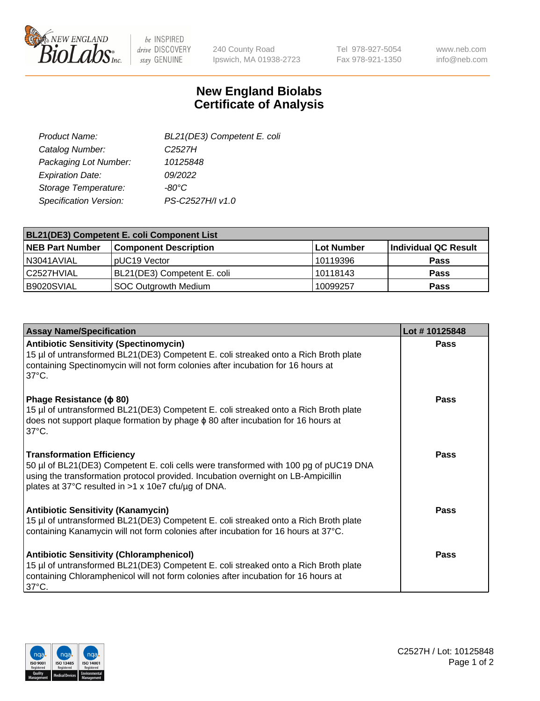

 $be$  INSPIRED drive DISCOVERY stay GENUINE

240 County Road Ipswich, MA 01938-2723 Tel 978-927-5054 Fax 978-921-1350 www.neb.com info@neb.com

## **New England Biolabs Certificate of Analysis**

| BL21(DE3) Competent E. coli |
|-----------------------------|
| C <sub>2527</sub> H         |
| 10125848                    |
| 09/2022                     |
| -80°C                       |
| PS-C2527H/I v1.0            |
|                             |

| <b>BL21(DE3) Competent E. coli Component List</b> |                              |             |                      |  |
|---------------------------------------------------|------------------------------|-------------|----------------------|--|
| <b>NEB Part Number</b>                            | <b>Component Description</b> | ⊺Lot Number | Individual QC Result |  |
| I N3041AVIAL                                      | pUC19 Vector                 | 10119396    | <b>Pass</b>          |  |
| l C2527HVIAL                                      | BL21(DE3) Competent E. coli  | 10118143    | <b>Pass</b>          |  |
| B9020SVIAL                                        | <b>SOC Outgrowth Medium</b>  | 10099257    | <b>Pass</b>          |  |

| <b>Assay Name/Specification</b>                                                                                                                                                                                                                                      | Lot #10125848 |
|----------------------------------------------------------------------------------------------------------------------------------------------------------------------------------------------------------------------------------------------------------------------|---------------|
| <b>Antibiotic Sensitivity (Spectinomycin)</b><br>15 µl of untransformed BL21(DE3) Competent E. coli streaked onto a Rich Broth plate<br>containing Spectinomycin will not form colonies after incubation for 16 hours at<br>$37^{\circ}$ C.                          | <b>Pass</b>   |
| Phage Resistance ( $\phi$ 80)<br>15 µl of untransformed BL21(DE3) Competent E. coli streaked onto a Rich Broth plate<br>does not support plaque formation by phage $\phi$ 80 after incubation for 16 hours at<br>$37^{\circ}$ C.                                     | <b>Pass</b>   |
| <b>Transformation Efficiency</b><br>50 µl of BL21(DE3) Competent E. coli cells were transformed with 100 pg of pUC19 DNA<br>using the transformation protocol provided. Incubation overnight on LB-Ampicillin<br>plates at 37°C resulted in >1 x 10e7 cfu/ug of DNA. | Pass          |
| <b>Antibiotic Sensitivity (Kanamycin)</b><br>15 µl of untransformed BL21(DE3) Competent E. coli streaked onto a Rich Broth plate<br>containing Kanamycin will not form colonies after incubation for 16 hours at 37°C.                                               | Pass          |
| <b>Antibiotic Sensitivity (Chloramphenicol)</b><br>15 µl of untransformed BL21(DE3) Competent E. coli streaked onto a Rich Broth plate<br>containing Chloramphenicol will not form colonies after incubation for 16 hours at<br>$37^{\circ}$ C.                      | Pass          |